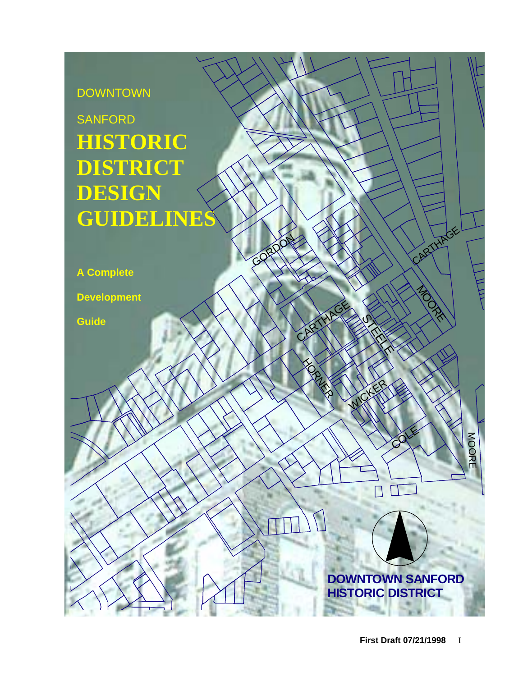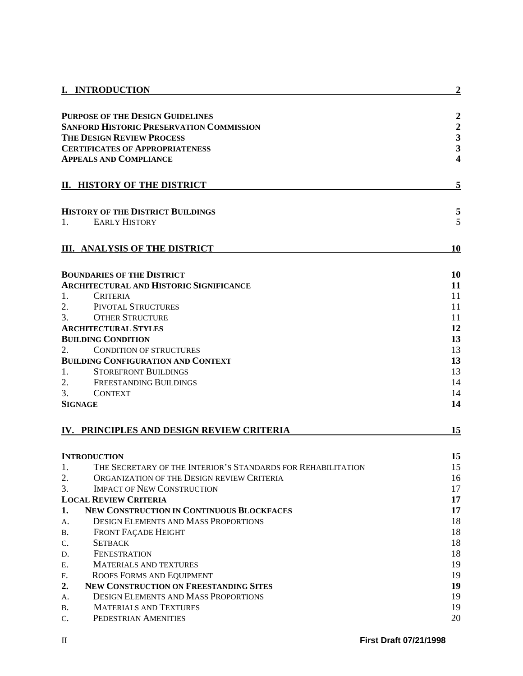|                                                 | I. INTRODUCTION                                              | $\overline{2}$                             |
|-------------------------------------------------|--------------------------------------------------------------|--------------------------------------------|
|                                                 | <b>PURPOSE OF THE DESIGN GUIDELINES</b>                      | $\boldsymbol{2}$                           |
| <b>SANFORD HISTORIC PRESERVATION COMMISSION</b> |                                                              |                                            |
|                                                 | <b>THE DESIGN REVIEW PROCESS</b>                             | $\begin{array}{c} 2 \\ 3 \\ 3 \end{array}$ |
|                                                 | <b>CERTIFICATES OF APPROPRIATENESS</b>                       |                                            |
|                                                 | <b>APPEALS AND COMPLIANCE</b>                                | 4                                          |
|                                                 | II. HISTORY OF THE DISTRICT                                  | 5                                          |
|                                                 | <b>HISTORY OF THE DISTRICT BUILDINGS</b>                     | 5                                          |
| 1.                                              | <b>EARLY HISTORY</b>                                         | 5                                          |
|                                                 |                                                              |                                            |
|                                                 | <b>III. ANALYSIS OF THE DISTRICT</b>                         | 10                                         |
|                                                 | <b>BOUNDARIES OF THE DISTRICT</b>                            | 10                                         |
|                                                 | <b>ARCHITECTURAL AND HISTORIC SIGNIFICANCE</b>               | 11                                         |
| 1.                                              | <b>CRITERIA</b>                                              | 11                                         |
| 2.                                              | PIVOTAL STRUCTURES                                           | 11                                         |
| 3.                                              | <b>OTHER STRUCTURE</b>                                       | 11                                         |
|                                                 | <b>ARCHITECTURAL STYLES</b>                                  | 12                                         |
|                                                 | <b>BUILDING CONDITION</b>                                    | 13                                         |
| 2.                                              | <b>CONDITION OF STRUCTURES</b>                               | 13                                         |
|                                                 | <b>BUILDING CONFIGURATION AND CONTEXT</b>                    | 13                                         |
| 1.                                              | <b>STOREFRONT BUILDINGS</b>                                  | 13                                         |
| 2.                                              | <b>FREESTANDING BUILDINGS</b>                                | 14                                         |
| 3.                                              | <b>CONTEXT</b>                                               | 14                                         |
|                                                 | <b>SIGNAGE</b>                                               | 14                                         |
|                                                 | IV. PRINCIPLES AND DESIGN REVIEW CRITERIA                    | 15                                         |
|                                                 | <b>INTRODUCTION</b>                                          | 15                                         |
| 1.                                              | THE SECRETARY OF THE INTERIOR'S STANDARDS FOR REHABILITATION | 15                                         |
| 2.                                              | ORGANIZATION OF THE DESIGN REVIEW CRITERIA                   | 16                                         |
| 3.                                              | <b>IMPACT OF NEW CONSTRUCTION</b>                            | 17                                         |
|                                                 | <b>LOCAL REVIEW CRITERIA</b>                                 | 17                                         |
| 1.                                              | <b>NEW CONSTRUCTION IN CONTINUOUS BLOCKFACES</b>             | 17                                         |
| А.                                              | <b>DESIGN ELEMENTS AND MASS PROPORTIONS</b>                  | 18                                         |
| Β.                                              | <b>FRONT FAÇADE HEIGHT</b>                                   | 18                                         |
| C.                                              | <b>SETBACK</b>                                               | 18                                         |
| D.                                              | <b>FENESTRATION</b>                                          | 18                                         |
| Ε.                                              | <b>MATERIALS AND TEXTURES</b>                                | 19                                         |
| F.                                              | ROOFS FORMS AND EQUIPMENT                                    | 19                                         |
| 2.                                              | <b>NEW CONSTRUCTION ON FREESTANDING SITES</b>                | 19                                         |
| А.                                              | <b>DESIGN ELEMENTS AND MASS PROPORTIONS</b>                  | 19                                         |
| В.                                              | <b>MATERIALS AND TEXTURES</b>                                | 19                                         |
| C.                                              | PEDESTRIAN AMENITIES                                         | 20                                         |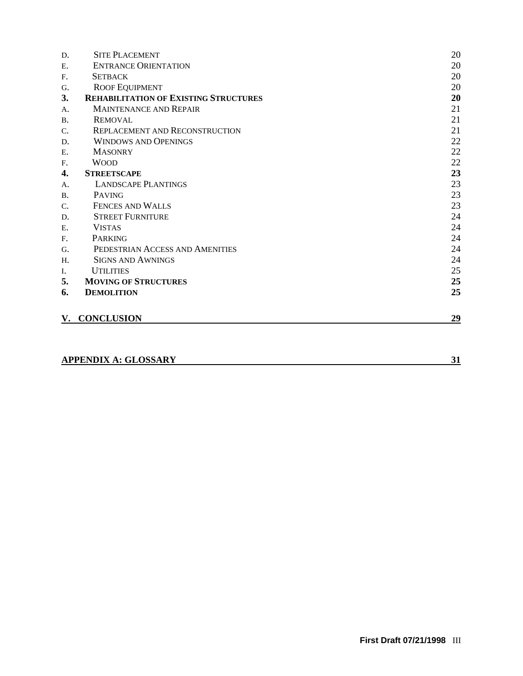| <b>ENTRANCE ORIENTATION</b><br><b>SETBACK</b><br><b>ROOF EQUIPMENT</b><br><b>REHABILITATION OF EXISTING STRUCTURES</b> | 20<br>20<br>20 |
|------------------------------------------------------------------------------------------------------------------------|----------------|
|                                                                                                                        |                |
|                                                                                                                        |                |
|                                                                                                                        |                |
|                                                                                                                        | 20             |
| <b>MAINTENANCE AND REPAIR</b>                                                                                          | 21             |
| <b>REMOVAL</b>                                                                                                         | 21             |
| <b>REPLACEMENT AND RECONSTRUCTION</b>                                                                                  | 21             |
| <b>WINDOWS AND OPENINGS</b>                                                                                            | 22             |
| <b>MASONRY</b>                                                                                                         | 22             |
| <b>WOOD</b>                                                                                                            | 22             |
| <b>STREETSCAPE</b>                                                                                                     | 23             |
| <b>LANDSCAPE PLANTINGS</b>                                                                                             | 23             |
| <b>PAVING</b>                                                                                                          | 23             |
| <b>FENCES AND WALLS</b>                                                                                                | 23             |
| <b>STREET FURNITURE</b>                                                                                                | 24             |
| <b>VISTAS</b>                                                                                                          | 24             |
| PARKING                                                                                                                | 24             |
| PEDESTRIAN ACCESS AND AMENITIES                                                                                        | 24             |
| <b>SIGNS AND AWNINGS</b>                                                                                               | 24             |
| <b>UTILITIES</b>                                                                                                       | 25             |
| <b>MOVING OF STRUCTURES</b>                                                                                            | 25             |
| <b>DEMOLITION</b>                                                                                                      | 25             |
| <b>V. CONCLUSION</b>                                                                                                   | <u>29</u>      |
|                                                                                                                        |                |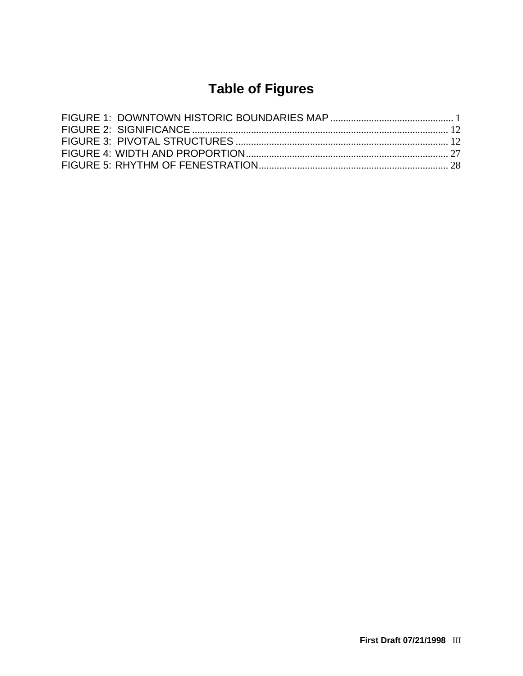# **Table of Figures**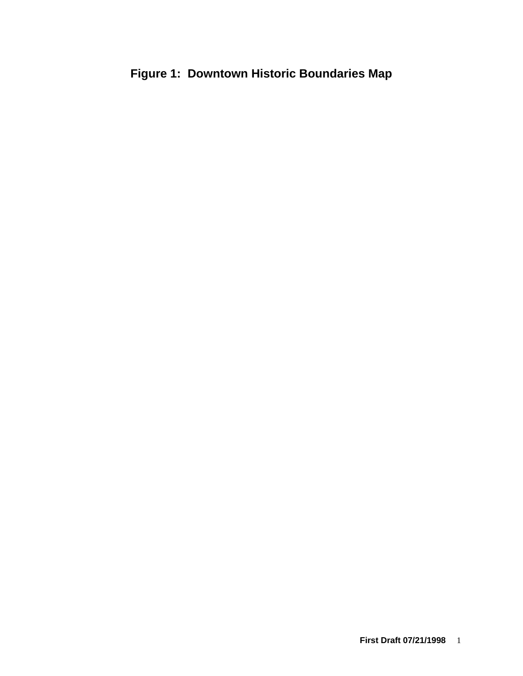# <span id="page-6-0"></span>**Figure 1: Downtown Historic Boundaries Map**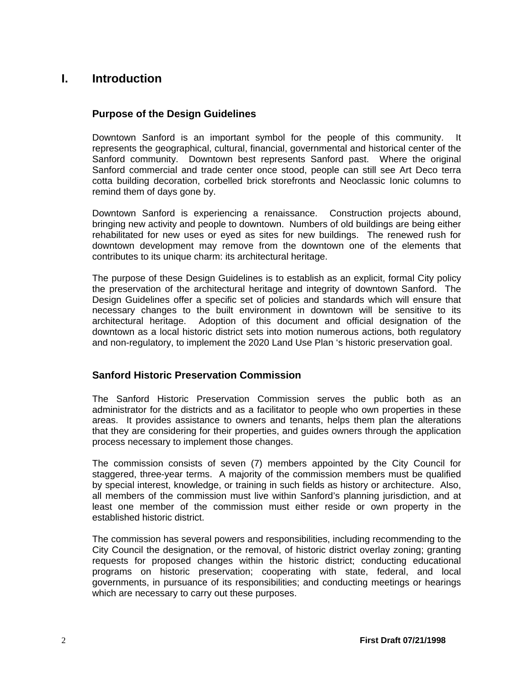# <span id="page-7-1"></span><span id="page-7-0"></span>**I. Introduction**

# **Purpose of the Design Guidelines**

Downtown Sanford is an important symbol for the people of this community. It represents the geographical, cultural, financial, governmental and historical center of the Sanford community. Downtown best represents Sanford past. Where the original Sanford commercial and trade center once stood, people can still see Art Deco terra cotta building decoration, corbelled brick storefronts and Neoclassic Ionic columns to remind them of days gone by.

Downtown Sanford is experiencing a renaissance. Construction projects abound, bringing new activity and people to downtown. Numbers of old buildings are being either rehabilitated for new uses or eyed as sites for new buildings. The renewed rush for downtown development may remove from the downtown one of the elements that contributes to its unique charm: its architectural heritage.

The purpose of these Design Guidelines is to establish as an explicit, formal City policy the preservation of the architectural heritage and integrity of downtown Sanford. The Design Guidelines offer a specific set of policies and standards which will ensure that necessary changes to the built environment in downtown will be sensitive to its architectural heritage. Adoption of this document and official designation of the downtown as a local historic district sets into motion numerous actions, both regulatory and non-regulatory, to implement the 2020 Land Use Plan 's historic preservation goal.

# <span id="page-7-2"></span>**Sanford Historic Preservation Commission**

The Sanford Historic Preservation Commission serves the public both as an administrator for the districts and as a facilitator to people who own properties in these areas. It provides assistance to owners and tenants, helps them plan the alterations that they are considering for their properties, and guides owners through the application process necessary to implement those changes.

The commission consists of seven (7) members appointed by the City Council for staggered, three-year terms. A majority of the commission members must be qualified by special interest, knowledge, or training in such fields as history or architecture. Also, all members of the commission must live within Sanford's planning jurisdiction, and at least one member of the commission must either reside or own property in the established historic district.

The commission has several powers and responsibilities, including recommending to the City Council the designation, or the removal, of historic district overlay zoning; granting requests for proposed changes within the historic district; conducting educational programs on historic preservation; cooperating with state, federal, and local governments, in pursuance of its responsibilities; and conducting meetings or hearings which are necessary to carry out these purposes.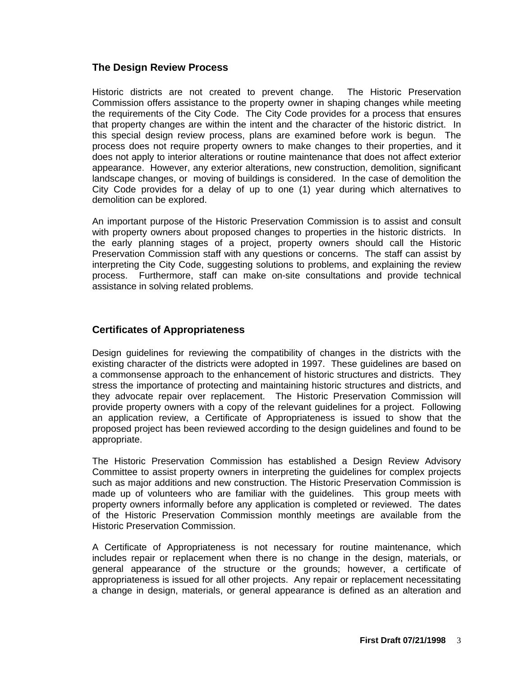# <span id="page-8-0"></span>**The Design Review Process**

Historic districts are not created to prevent change. The Historic Preservation Commission offers assistance to the property owner in shaping changes while meeting the requirements of the City Code. The City Code provides for a process that ensures that property changes are within the intent and the character of the historic district. In this special design review process, plans are examined before work is begun. The process does not require property owners to make changes to their properties, and it does not apply to interior alterations or routine maintenance that does not affect exterior appearance. However, any exterior alterations, new construction, demolition, significant landscape changes, or moving of buildings is considered. In the case of demolition the City Code provides for a delay of up to one (1) year during which alternatives to demolition can be explored.

An important purpose of the Historic Preservation Commission is to assist and consult with property owners about proposed changes to properties in the historic districts. In the early planning stages of a project, property owners should call the Historic Preservation Commission staff with any questions or concerns. The staff can assist by interpreting the City Code, suggesting solutions to problems, and explaining the review process. Furthermore, staff can make on-site consultations and provide technical assistance in solving related problems.

# <span id="page-8-1"></span>**Certificates of Appropriateness**

Design guidelines for reviewing the compatibility of changes in the districts with the existing character of the districts were adopted in 1997. These guidelines are based on a commonsense approach to the enhancement of historic structures and districts. They stress the importance of protecting and maintaining historic structures and districts, and they advocate repair over replacement. The Historic Preservation Commission will provide property owners with a copy of the relevant guidelines for a project. Following an application review, a Certificate of Appropriateness is issued to show that the proposed project has been reviewed according to the design guidelines and found to be appropriate.

The Historic Preservation Commission has established a Design Review Advisory Committee to assist property owners in interpreting the guidelines for complex projects such as major additions and new construction. The Historic Preservation Commission is made up of volunteers who are familiar with the guidelines. This group meets with property owners informally before any application is completed or reviewed. The dates of the Historic Preservation Commission monthly meetings are available from the Historic Preservation Commission.

A Certificate of Appropriateness is not necessary for routine maintenance, which includes repair or replacement when there is no change in the design, materials, or general appearance of the structure or the grounds; however, a certificate of appropriateness is issued for all other projects. Any repair or replacement necessitating a change in design, materials, or general appearance is defined as an alteration and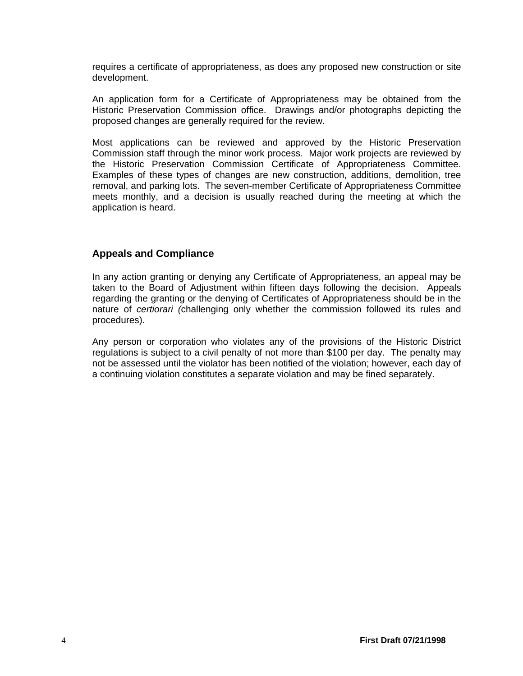requires a certificate of appropriateness, as does any proposed new construction or site development.

An application form for a Certificate of Appropriateness may be obtained from the Historic Preservation Commission office. Drawings and/or photographs depicting the proposed changes are generally required for the review.

Most applications can be reviewed and approved by the Historic Preservation Commission staff through the minor work process. Major work projects are reviewed by the Historic Preservation Commission Certificate of Appropriateness Committee. Examples of these types of changes are new construction, additions, demolition, tree removal, and parking lots. The seven-member Certificate of Appropriateness Committee meets monthly, and a decision is usually reached during the meeting at which the application is heard.

# <span id="page-9-0"></span>**Appeals and Compliance**

In any action granting or denying any Certificate of Appropriateness, an appeal may be taken to the Board of Adjustment within fifteen days following the decision. Appeals regarding the granting or the denying of Certificates of Appropriateness should be in the nature of *certiorari (*challenging only whether the commission followed its rules and procedures).

Any person or corporation who violates any of the provisions of the Historic District regulations is subject to a civil penalty of not more than \$100 per day. The penalty may not be assessed until the violator has been notified of the violation; however, each day of a continuing violation constitutes a separate violation and may be fined separately.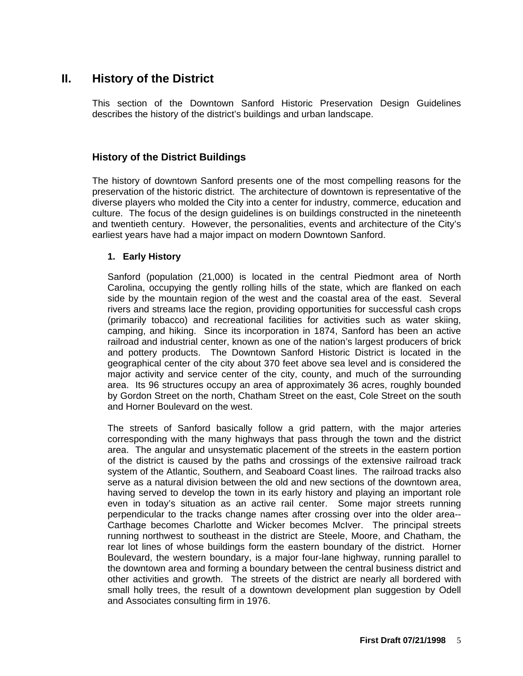# <span id="page-10-0"></span>**II. History of the District**

This section of the Downtown Sanford Historic Preservation Design Guidelines describes the history of the district's buildings and urban landscape.

# <span id="page-10-1"></span>**History of the District Buildings**

The history of downtown Sanford presents one of the most compelling reasons for the preservation of the historic district. The architecture of downtown is representative of the diverse players who molded the City into a center for industry, commerce, education and culture. The focus of the design guidelines is on buildings constructed in the nineteenth and twentieth century. However, the personalities, events and architecture of the City's earliest years have had a major impact on modern Downtown Sanford.

#### <span id="page-10-2"></span>**1. Early History**

Sanford (population (21,000) is located in the central Piedmont area of North Carolina, occupying the gently rolling hills of the state, which are flanked on each side by the mountain region of the west and the coastal area of the east. Several rivers and streams lace the region, providing opportunities for successful cash crops (primarily tobacco) and recreational facilities for activities such as water skiing, camping, and hiking. Since its incorporation in 1874, Sanford has been an active railroad and industrial center, known as one of the nation's largest producers of brick and pottery products. The Downtown Sanford Historic District is located in the geographical center of the city about 370 feet above sea level and is considered the major activity and service center of the city, county, and much of the surrounding area. Its 96 structures occupy an area of approximately 36 acres, roughly bounded by Gordon Street on the north, Chatham Street on the east, Cole Street on the south and Horner Boulevard on the west.

The streets of Sanford basically follow a grid pattern, with the major arteries corresponding with the many highways that pass through the town and the district area. The angular and unsystematic placement of the streets in the eastern portion of the district is caused by the paths and crossings of the extensive railroad track system of the Atlantic, Southern, and Seaboard Coast lines. The railroad tracks also serve as a natural division between the old and new sections of the downtown area, having served to develop the town in its early history and playing an important role even in today's situation as an active rail center. Some major streets running perpendicular to the tracks change names after crossing over into the older area-- Carthage becomes Charlotte and Wicker becomes McIver. The principal streets running northwest to southeast in the district are Steele, Moore, and Chatham, the rear lot lines of whose buildings form the eastern boundary of the district. Horner Boulevard, the western boundary, is a major four-lane highway, running parallel to the downtown area and forming a boundary between the central business district and other activities and growth. The streets of the district are nearly all bordered with small holly trees, the result of a downtown development plan suggestion by Odell and Associates consulting firm in 1976.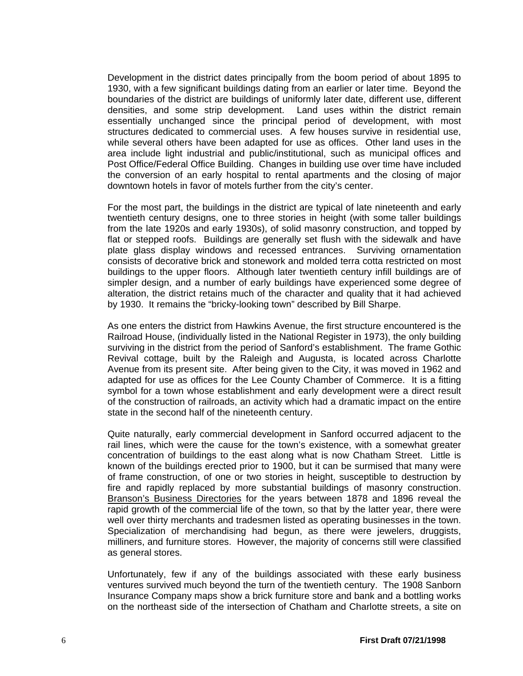Development in the district dates principally from the boom period of about 1895 to 1930, with a few significant buildings dating from an earlier or later time. Beyond the boundaries of the district are buildings of uniformly later date, different use, different densities, and some strip development. Land uses within the district remain essentially unchanged since the principal period of development, with most structures dedicated to commercial uses. A few houses survive in residential use, while several others have been adapted for use as offices. Other land uses in the area include light industrial and public/institutional, such as municipal offices and Post Office/Federal Office Building. Changes in building use over time have included the conversion of an early hospital to rental apartments and the closing of major downtown hotels in favor of motels further from the city's center.

For the most part, the buildings in the district are typical of late nineteenth and early twentieth century designs, one to three stories in height (with some taller buildings from the late 1920s and early 1930s), of solid masonry construction, and topped by flat or stepped roofs. Buildings are generally set flush with the sidewalk and have plate glass display windows and recessed entrances. Surviving ornamentation consists of decorative brick and stonework and molded terra cotta restricted on most buildings to the upper floors. Although later twentieth century infill buildings are of simpler design, and a number of early buildings have experienced some degree of alteration, the district retains much of the character and quality that it had achieved by 1930. It remains the "bricky-looking town" described by Bill Sharpe.

As one enters the district from Hawkins Avenue, the first structure encountered is the Railroad House, (individually listed in the National Register in 1973), the only building surviving in the district from the period of Sanford's establishment. The frame Gothic Revival cottage, built by the Raleigh and Augusta, is located across Charlotte Avenue from its present site. After being given to the City, it was moved in 1962 and adapted for use as offices for the Lee County Chamber of Commerce. It is a fitting symbol for a town whose establishment and early development were a direct result of the construction of railroads, an activity which had a dramatic impact on the entire state in the second half of the nineteenth century.

Quite naturally, early commercial development in Sanford occurred adjacent to the rail lines, which were the cause for the town's existence, with a somewhat greater concentration of buildings to the east along what is now Chatham Street. Little is known of the buildings erected prior to 1900, but it can be surmised that many were of frame construction, of one or two stories in height, susceptible to destruction by fire and rapidly replaced by more substantial buildings of masonry construction. Branson's Business Directories for the years between 1878 and 1896 reveal the rapid growth of the commercial life of the town, so that by the latter year, there were well over thirty merchants and tradesmen listed as operating businesses in the town. Specialization of merchandising had begun, as there were jewelers, druggists, milliners, and furniture stores. However, the majority of concerns still were classified as general stores.

Unfortunately, few if any of the buildings associated with these early business ventures survived much beyond the turn of the twentieth century. The 1908 Sanborn Insurance Company maps show a brick furniture store and bank and a bottling works on the northeast side of the intersection of Chatham and Charlotte streets, a site on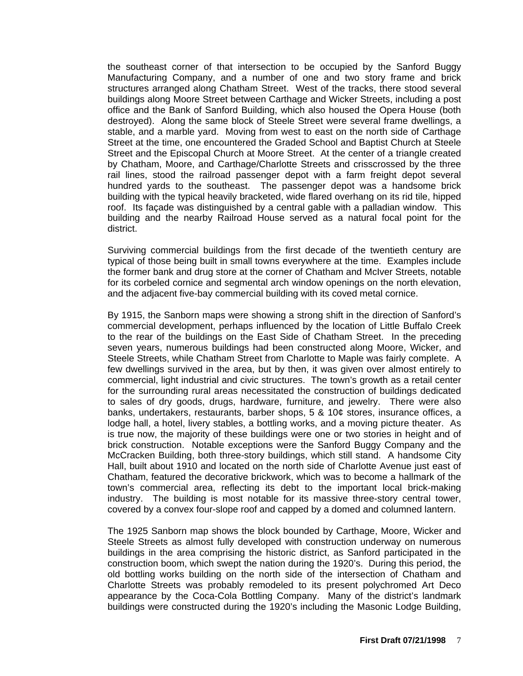the southeast corner of that intersection to be occupied by the Sanford Buggy Manufacturing Company, and a number of one and two story frame and brick structures arranged along Chatham Street. West of the tracks, there stood several buildings along Moore Street between Carthage and Wicker Streets, including a post office and the Bank of Sanford Building, which also housed the Opera House (both destroyed). Along the same block of Steele Street were several frame dwellings, a stable, and a marble yard. Moving from west to east on the north side of Carthage Street at the time, one encountered the Graded School and Baptist Church at Steele Street and the Episcopal Church at Moore Street. At the center of a triangle created by Chatham, Moore, and Carthage/Charlotte Streets and crisscrossed by the three rail lines, stood the railroad passenger depot with a farm freight depot several hundred yards to the southeast. The passenger depot was a handsome brick building with the typical heavily bracketed, wide flared overhang on its rid tile, hipped roof. Its façade was distinguished by a central gable with a palladian window. This building and the nearby Railroad House served as a natural focal point for the district.

Surviving commercial buildings from the first decade of the twentieth century are typical of those being built in small towns everywhere at the time. Examples include the former bank and drug store at the corner of Chatham and McIver Streets, notable for its corbeled cornice and segmental arch window openings on the north elevation, and the adjacent five-bay commercial building with its coved metal cornice.

By 1915, the Sanborn maps were showing a strong shift in the direction of Sanford's commercial development, perhaps influenced by the location of Little Buffalo Creek to the rear of the buildings on the East Side of Chatham Street. In the preceding seven years, numerous buildings had been constructed along Moore, Wicker, and Steele Streets, while Chatham Street from Charlotte to Maple was fairly complete. A few dwellings survived in the area, but by then, it was given over almost entirely to commercial, light industrial and civic structures. The town's growth as a retail center for the surrounding rural areas necessitated the construction of buildings dedicated to sales of dry goods, drugs, hardware, furniture, and jewelry. There were also banks, undertakers, restaurants, barber shops, 5 & 10¢ stores, insurance offices, a lodge hall, a hotel, livery stables, a bottling works, and a moving picture theater. As is true now, the majority of these buildings were one or two stories in height and of brick construction. Notable exceptions were the Sanford Buggy Company and the McCracken Building, both three-story buildings, which still stand. A handsome City Hall, built about 1910 and located on the north side of Charlotte Avenue just east of Chatham, featured the decorative brickwork, which was to become a hallmark of the town's commercial area, reflecting its debt to the important local brick-making industry. The building is most notable for its massive three-story central tower, covered by a convex four-slope roof and capped by a domed and columned lantern.

The 1925 Sanborn map shows the block bounded by Carthage, Moore, Wicker and Steele Streets as almost fully developed with construction underway on numerous buildings in the area comprising the historic district, as Sanford participated in the construction boom, which swept the nation during the 1920's. During this period, the old bottling works building on the north side of the intersection of Chatham and Charlotte Streets was probably remodeled to its present polychromed Art Deco appearance by the Coca-Cola Bottling Company. Many of the district's landmark buildings were constructed during the 1920's including the Masonic Lodge Building,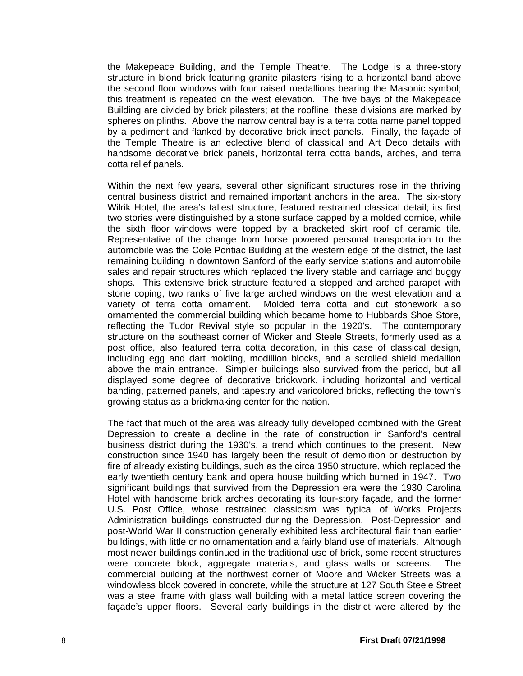the Makepeace Building, and the Temple Theatre. The Lodge is a three-story structure in blond brick featuring granite pilasters rising to a horizontal band above the second floor windows with four raised medallions bearing the Masonic symbol; this treatment is repeated on the west elevation. The five bays of the Makepeace Building are divided by brick pilasters; at the roofline, these divisions are marked by spheres on plinths. Above the narrow central bay is a terra cotta name panel topped by a pediment and flanked by decorative brick inset panels. Finally, the façade of the Temple Theatre is an eclective blend of classical and Art Deco details with handsome decorative brick panels, horizontal terra cotta bands, arches, and terra cotta relief panels.

Within the next few years, several other significant structures rose in the thriving central business district and remained important anchors in the area. The six-story Wilrik Hotel, the area's tallest structure, featured restrained classical detail; its first two stories were distinguished by a stone surface capped by a molded cornice, while the sixth floor windows were topped by a bracketed skirt roof of ceramic tile. Representative of the change from horse powered personal transportation to the automobile was the Cole Pontiac Building at the western edge of the district, the last remaining building in downtown Sanford of the early service stations and automobile sales and repair structures which replaced the livery stable and carriage and buggy shops. This extensive brick structure featured a stepped and arched parapet with stone coping, two ranks of five large arched windows on the west elevation and a variety of terra cotta ornament. Molded terra cotta and cut stonework also ornamented the commercial building which became home to Hubbards Shoe Store, reflecting the Tudor Revival style so popular in the 1920's. The contemporary structure on the southeast corner of Wicker and Steele Streets, formerly used as a post office, also featured terra cotta decoration, in this case of classical design, including egg and dart molding, modillion blocks, and a scrolled shield medallion above the main entrance. Simpler buildings also survived from the period, but all displayed some degree of decorative brickwork, including horizontal and vertical banding, patterned panels, and tapestry and varicolored bricks, reflecting the town's growing status as a brickmaking center for the nation.

The fact that much of the area was already fully developed combined with the Great Depression to create a decline in the rate of construction in Sanford's central business district during the 1930's, a trend which continues to the present. New construction since 1940 has largely been the result of demolition or destruction by fire of already existing buildings, such as the circa 1950 structure, which replaced the early twentieth century bank and opera house building which burned in 1947. Two significant buildings that survived from the Depression era were the 1930 Carolina Hotel with handsome brick arches decorating its four-story façade, and the former U.S. Post Office, whose restrained classicism was typical of Works Projects Administration buildings constructed during the Depression. Post-Depression and post-World War II construction generally exhibited less architectural flair than earlier buildings, with little or no ornamentation and a fairly bland use of materials. Although most newer buildings continued in the traditional use of brick, some recent structures were concrete block, aggregate materials, and glass walls or screens. The commercial building at the northwest corner of Moore and Wicker Streets was a windowless block covered in concrete, while the structure at 127 South Steele Street was a steel frame with glass wall building with a metal lattice screen covering the façade's upper floors. Several early buildings in the district were altered by the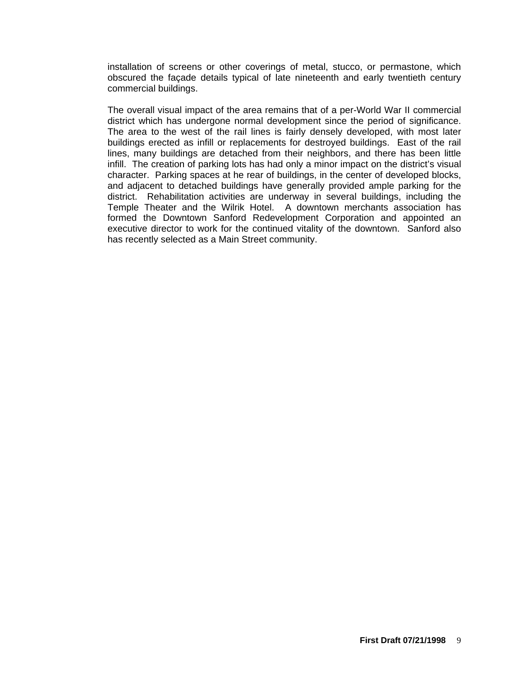installation of screens or other coverings of metal, stucco, or permastone, which obscured the façade details typical of late nineteenth and early twentieth century commercial buildings.

The overall visual impact of the area remains that of a per-World War II commercial district which has undergone normal development since the period of significance. The area to the west of the rail lines is fairly densely developed, with most later buildings erected as infill or replacements for destroyed buildings. East of the rail lines, many buildings are detached from their neighbors, and there has been little infill. The creation of parking lots has had only a minor impact on the district's visual character. Parking spaces at he rear of buildings, in the center of developed blocks, and adjacent to detached buildings have generally provided ample parking for the district. Rehabilitation activities are underway in several buildings, including the Temple Theater and the Wilrik Hotel. A downtown merchants association has formed the Downtown Sanford Redevelopment Corporation and appointed an executive director to work for the continued vitality of the downtown. Sanford also has recently selected as a Main Street community.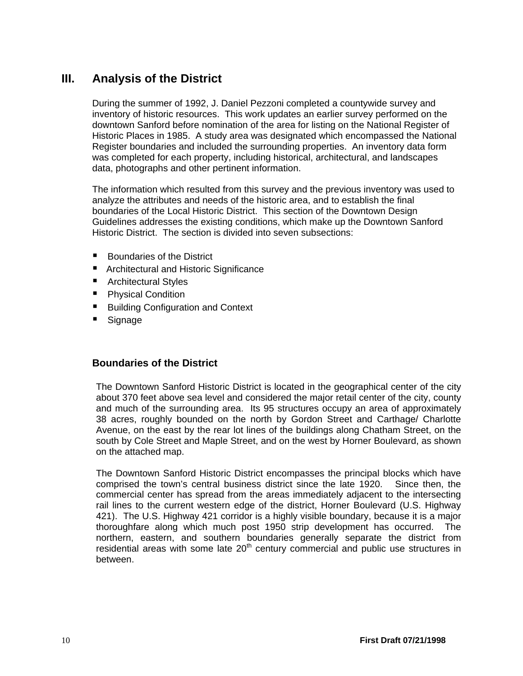# <span id="page-15-0"></span>**III. Analysis of the District**

During the summer of 1992, J. Daniel Pezzoni completed a countywide survey and inventory of historic resources. This work updates an earlier survey performed on the downtown Sanford before nomination of the area for listing on the National Register of Historic Places in 1985. A study area was designated which encompassed the National Register boundaries and included the surrounding properties. An inventory data form was completed for each property, including historical, architectural, and landscapes data, photographs and other pertinent information.

The information which resulted from this survey and the previous inventory was used to analyze the attributes and needs of the historic area, and to establish the final boundaries of the Local Historic District. This section of the Downtown Design Guidelines addresses the existing conditions, which make up the Downtown Sanford Historic District. The section is divided into seven subsections:

- Boundaries of the District
- Architectural and Historic Significance
- Architectural Styles
- **Physical Condition**
- Building Configuration and Context
- **Signage**

# <span id="page-15-1"></span>**Boundaries of the District**

The Downtown Sanford Historic District is located in the geographical center of the city about 370 feet above sea level and considered the major retail center of the city, county and much of the surrounding area. Its 95 structures occupy an area of approximately 38 acres, roughly bounded on the north by Gordon Street and Carthage/ Charlotte Avenue, on the east by the rear lot lines of the buildings along Chatham Street, on the south by Cole Street and Maple Street, and on the west by Horner Boulevard, as shown on the attached map.

The Downtown Sanford Historic District encompasses the principal blocks which have comprised the town's central business district since the late 1920. Since then, the commercial center has spread from the areas immediately adjacent to the intersecting rail lines to the current western edge of the district, Horner Boulevard (U.S. Highway 421). The U.S. Highway 421 corridor is a highly visible boundary, because it is a major thoroughfare along which much post 1950 strip development has occurred. The northern, eastern, and southern boundaries generally separate the district from residential areas with some late  $20<sup>th</sup>$  century commercial and public use structures in between.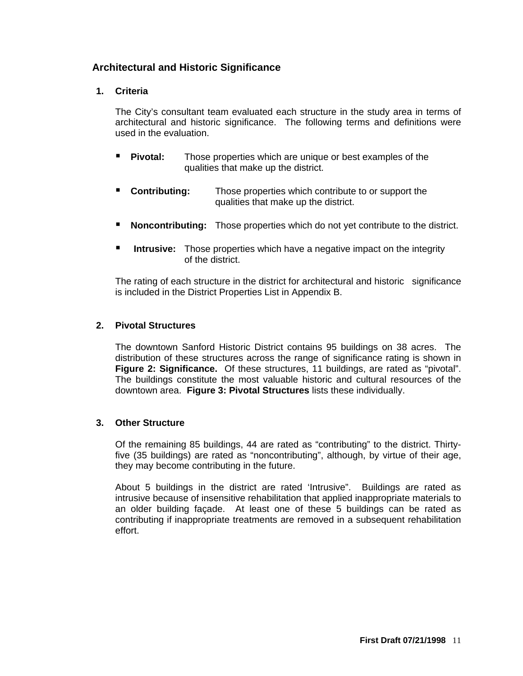# <span id="page-16-1"></span><span id="page-16-0"></span>**Architectural and Historic Significance**

# **1. Criteria**

The City's consultant team evaluated each structure in the study area in terms of architectural and historic significance. The following terms and definitions were used in the evaluation.

- **Pivotal:** Those properties which are unique or best examples of the qualities that make up the district.
- **Contributing:** Those properties which contribute to or support the qualities that make up the district.
- **Noncontributing:** Those properties which do not yet contribute to the district.
- **Intrusive:** Those properties which have a negative impact on the integrity of the district.

 The rating of each structure in the district for architectural and historic significance is included in the District Properties List in Appendix B.

#### <span id="page-16-2"></span>**2. Pivotal Structures**

The downtown Sanford Historic District contains 95 buildings on 38 acres. The distribution of these structures across the range of significance rating is shown in **Figure 2: Significance.** Of these structures, 11 buildings, are rated as "pivotal". The buildings constitute the most valuable historic and cultural resources of the downtown area. **Figure 3: Pivotal Structures** lists these individually.

#### <span id="page-16-3"></span>**3. Other Structure**

Of the remaining 85 buildings, 44 are rated as "contributing" to the district. Thirtyfive (35 buildings) are rated as "noncontributing", although, by virtue of their age, they may become contributing in the future.

About 5 buildings in the district are rated 'Intrusive". Buildings are rated as intrusive because of insensitive rehabilitation that applied inappropriate materials to an older building façade. At least one of these 5 buildings can be rated as contributing if inappropriate treatments are removed in a subsequent rehabilitation effort.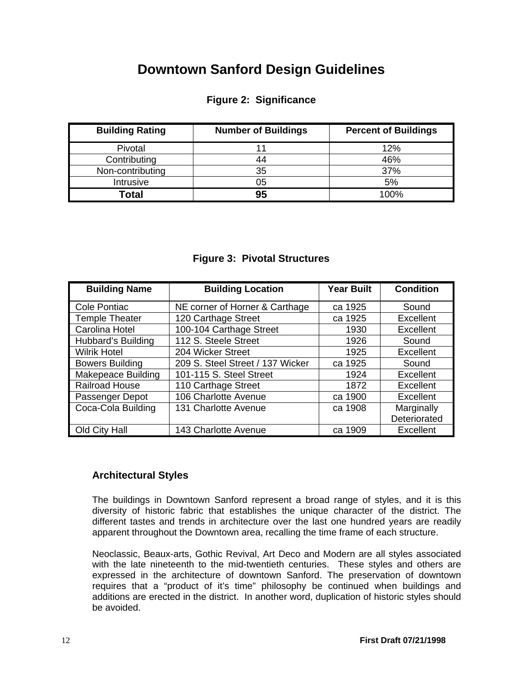# **Downtown Sanford Design Guidelines**

# **Figure 2: Significance**

<span id="page-17-1"></span>

| <b>Building Rating</b> | <b>Number of Buildings</b> | <b>Percent of Buildings</b> |
|------------------------|----------------------------|-----------------------------|
| Pivotal                |                            | 12%                         |
| Contributing           |                            | 46%                         |
| Non-contributing       | 35                         | 37%                         |
| Intrusive              | 05                         | 5%                          |
| <b>Total</b>           | 95                         | 100%                        |

# **Figure 3: Pivotal Structures**

<span id="page-17-2"></span>

| <b>Building Name</b>      | <b>Building Location</b>         | <b>Year Built</b> | <b>Condition</b> |
|---------------------------|----------------------------------|-------------------|------------------|
| <b>Cole Pontiac</b>       | NE corner of Horner & Carthage   | ca 1925           | Sound            |
| <b>Temple Theater</b>     | 120 Carthage Street              | ca 1925           | Excellent        |
| Carolina Hotel            | 100-104 Carthage Street          | 1930              | <b>Excellent</b> |
| Hubbard's Building        | 112 S. Steele Street             | 1926              | Sound            |
| <b>Wilrik Hotel</b>       | 204 Wicker Street                | 1925              | Excellent        |
| <b>Bowers Building</b>    | 209 S. Steel Street / 137 Wicker | ca 1925           | Sound            |
| <b>Makepeace Building</b> | 101-115 S. Steel Street          | 1924              | <b>Excellent</b> |
| <b>Railroad House</b>     | 110 Carthage Street              | 1872              | Excellent        |
| Passenger Depot           | 106 Charlotte Avenue             | ca 1900           | Excellent        |
| Coca-Cola Building        | 131 Charlotte Avenue             | ca 1908           | Marginally       |
|                           |                                  |                   | Deteriorated     |
| Old City Hall             | 143 Charlotte Avenue             | ca 1909           | <b>Excellent</b> |

# <span id="page-17-0"></span>**Architectural Styles**

The buildings in Downtown Sanford represent a broad range of styles, and it is this diversity of historic fabric that establishes the unique character of the district. The different tastes and trends in architecture over the last one hundred years are readily apparent throughout the Downtown area, recalling the time frame of each structure.

Neoclassic, Beaux-arts, Gothic Revival, Art Deco and Modern are all styles associated with the late nineteenth to the mid-twentieth centuries. These styles and others are expressed in the architecture of downtown Sanford. The preservation of downtown requires that a "product of it's time" philosophy be continued when buildings and additions are erected in the district. In another word, duplication of historic styles should be avoided.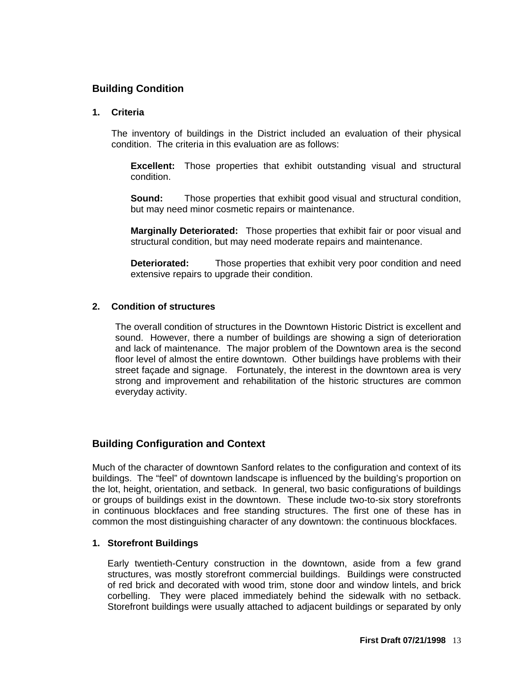# <span id="page-18-0"></span>**Building Condition**

#### **1. Criteria**

The inventory of buildings in the District included an evaluation of their physical condition. The criteria in this evaluation are as follows:

**Excellent:** Those properties that exhibit outstanding visual and structural condition.

**Sound:** Those properties that exhibit good visual and structural condition, but may need minor cosmetic repairs or maintenance.

**Marginally Deteriorated:** Those properties that exhibit fair or poor visual and structural condition, but may need moderate repairs and maintenance.

**Deteriorated:** Those properties that exhibit very poor condition and need extensive repairs to upgrade their condition.

#### <span id="page-18-1"></span>**2. Condition of structures**

The overall condition of structures in the Downtown Historic District is excellent and sound. However, there a number of buildings are showing a sign of deterioration and lack of maintenance. The major problem of the Downtown area is the second floor level of almost the entire downtown. Other buildings have problems with their street façade and signage. Fortunately, the interest in the downtown area is very strong and improvement and rehabilitation of the historic structures are common everyday activity.

# <span id="page-18-2"></span>**Building Configuration and Context**

Much of the character of downtown Sanford relates to the configuration and context of its buildings. The "feel" of downtown landscape is influenced by the building's proportion on the lot, height, orientation, and setback. In general, two basic configurations of buildings or groups of buildings exist in the downtown. These include two-to-six story storefronts in continuous blockfaces and free standing structures. The first one of these has in common the most distinguishing character of any downtown: the continuous blockfaces.

#### <span id="page-18-3"></span>**1. Storefront Buildings**

Early twentieth-Century construction in the downtown, aside from a few grand structures, was mostly storefront commercial buildings. Buildings were constructed of red brick and decorated with wood trim, stone door and window lintels, and brick corbelling. They were placed immediately behind the sidewalk with no setback. Storefront buildings were usually attached to adjacent buildings or separated by only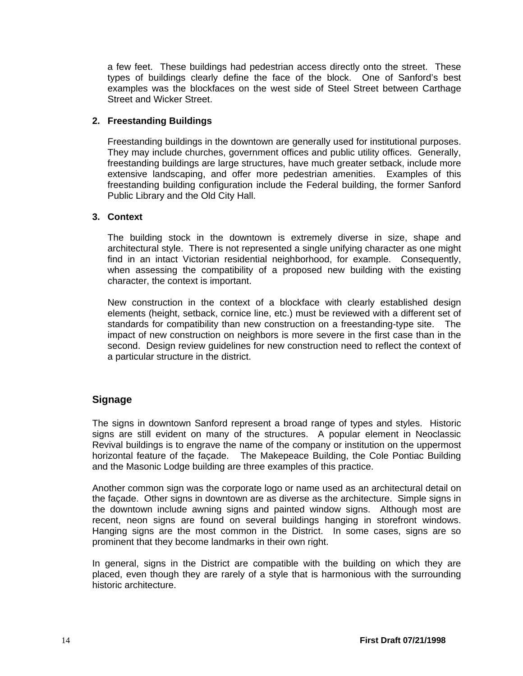a few feet. These buildings had pedestrian access directly onto the street. These types of buildings clearly define the face of the block. One of Sanford's best examples was the blockfaces on the west side of Steel Street between Carthage Street and Wicker Street.

# <span id="page-19-0"></span>**2. Freestanding Buildings**

Freestanding buildings in the downtown are generally used for institutional purposes. They may include churches, government offices and public utility offices. Generally, freestanding buildings are large structures, have much greater setback, include more extensive landscaping, and offer more pedestrian amenities. Examples of this freestanding building configuration include the Federal building, the former Sanford Public Library and the Old City Hall.

#### <span id="page-19-1"></span>**3. Context**

The building stock in the downtown is extremely diverse in size, shape and architectural style. There is not represented a single unifying character as one might find in an intact Victorian residential neighborhood, for example. Consequently, when assessing the compatibility of a proposed new building with the existing character, the context is important.

New construction in the context of a blockface with clearly established design elements (height, setback, cornice line, etc.) must be reviewed with a different set of standards for compatibility than new construction on a freestanding-type site. The impact of new construction on neighbors is more severe in the first case than in the second. Design review guidelines for new construction need to reflect the context of a particular structure in the district.

# <span id="page-19-2"></span>**Signage**

The signs in downtown Sanford represent a broad range of types and styles. Historic signs are still evident on many of the structures. A popular element in Neoclassic Revival buildings is to engrave the name of the company or institution on the uppermost horizontal feature of the façade. The Makepeace Building, the Cole Pontiac Building and the Masonic Lodge building are three examples of this practice.

Another common sign was the corporate logo or name used as an architectural detail on the façade. Other signs in downtown are as diverse as the architecture. Simple signs in the downtown include awning signs and painted window signs. Although most are recent, neon signs are found on several buildings hanging in storefront windows. Hanging signs are the most common in the District. In some cases, signs are so prominent that they become landmarks in their own right.

In general, signs in the District are compatible with the building on which they are placed, even though they are rarely of a style that is harmonious with the surrounding historic architecture.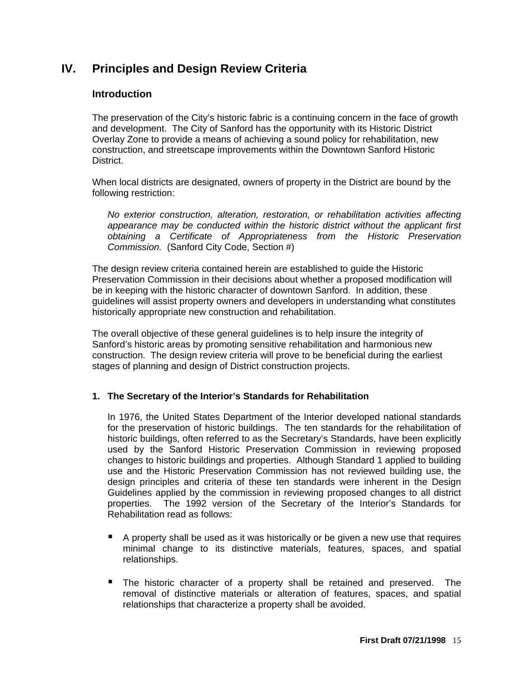# <span id="page-20-1"></span><span id="page-20-0"></span>**IV. Principles and Design Review Criteria**

# **Introduction**

The preservation of the City's historic fabric is a continuing concern in the face of growth and development. The City of Sanford has the opportunity with its Historic District Overlay Zone to provide a means of achieving a sound policy for rehabilitation, new construction, and streetscape improvements within the Downtown Sanford Historic District.

When local districts are designated, owners of property in the District are bound by the following restriction:

*No exterior construction, alteration, restoration, or rehabilitation activities affecting appearance may be conducted within the historic district without the applicant first obtaining a Certificate of Appropriateness from the Historic Preservation Commission.* (Sanford City Code, Section #)

The design review criteria contained herein are established to guide the Historic Preservation Commission in their decisions about whether a proposed modification will be in keeping with the historic character of downtown Sanford. In addition, these guidelines will assist property owners and developers in understanding what constitutes historically appropriate new construction and rehabilitation.

The overall objective of these general guidelines is to help insure the integrity of Sanford's historic areas by promoting sensitive rehabilitation and harmonious new construction. The design review criteria will prove to be beneficial during the earliest stages of planning and design of District construction projects.

# <span id="page-20-2"></span>**1. The Secretary of the Interior's Standards for Rehabilitation**

In 1976, the United States Department of the Interior developed national standards for the preservation of historic buildings. The ten standards for the rehabilitation of historic buildings, often referred to as the Secretary's Standards, have been explicitly used by the Sanford Historic Preservation Commission in reviewing proposed changes to historic buildings and properties. Although Standard 1 applied to building use and the Historic Preservation Commission has not reviewed building use, the design principles and criteria of these ten standards were inherent in the Design Guidelines applied by the commission in reviewing proposed changes to all district properties. The 1992 version of the Secretary of the Interior's Standards for Rehabilitation read as follows:

- $\blacksquare$  A property shall be used as it was historically or be given a new use that requires minimal change to its distinctive materials, features, spaces, and spatial relationships.
- The historic character of a property shall be retained and preserved. The removal of distinctive materials or alteration of features, spaces, and spatial relationships that characterize a property shall be avoided.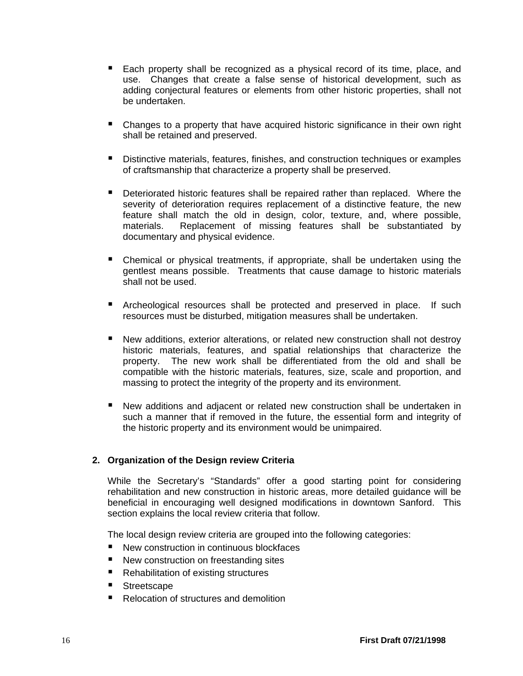- Each property shall be recognized as a physical record of its time, place, and use. Changes that create a false sense of historical development, such as adding conjectural features or elements from other historic properties, shall not be undertaken.
- Changes to a property that have acquired historic significance in their own right shall be retained and preserved.
- **Distinctive materials, features, finishes, and construction techniques or examples** of craftsmanship that characterize a property shall be preserved.
- **Deteriorated historic features shall be repaired rather than replaced. Where the** severity of deterioration requires replacement of a distinctive feature, the new feature shall match the old in design, color, texture, and, where possible, materials. Replacement of missing features shall be substantiated by documentary and physical evidence.
- Chemical or physical treatments, if appropriate, shall be undertaken using the gentlest means possible. Treatments that cause damage to historic materials shall not be used.
- **E** Archeological resources shall be protected and preserved in place. If such resources must be disturbed, mitigation measures shall be undertaken.
- New additions, exterior alterations, or related new construction shall not destroy historic materials, features, and spatial relationships that characterize the property. The new work shall be differentiated from the old and shall be compatible with the historic materials, features, size, scale and proportion, and massing to protect the integrity of the property and its environment.
- New additions and adjacent or related new construction shall be undertaken in such a manner that if removed in the future, the essential form and integrity of the historic property and its environment would be unimpaired.

# <span id="page-21-0"></span>**2. Organization of the Design review Criteria**

While the Secretary's "Standards" offer a good starting point for considering rehabilitation and new construction in historic areas, more detailed guidance will be beneficial in encouraging well designed modifications in downtown Sanford. This section explains the local review criteria that follow.

The local design review criteria are grouped into the following categories:

- New construction in continuous blockfaces
- New construction on freestanding sites
- Rehabilitation of existing structures
- Streetscape
- Relocation of structures and demolition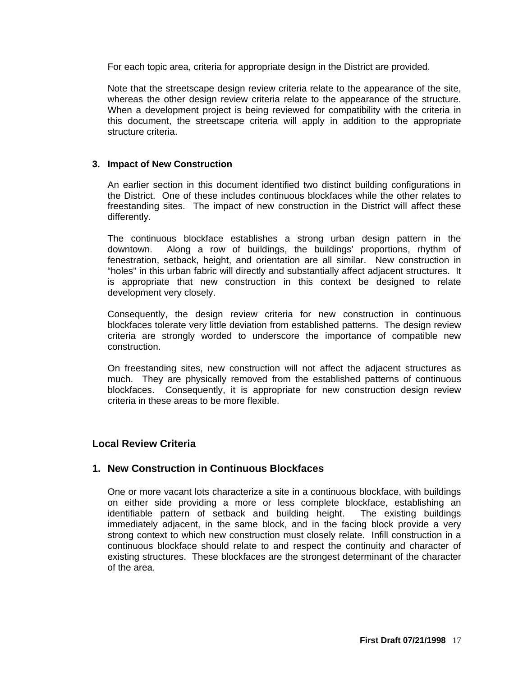For each topic area, criteria for appropriate design in the District are provided.

Note that the streetscape design review criteria relate to the appearance of the site, whereas the other design review criteria relate to the appearance of the structure. When a development project is being reviewed for compatibility with the criteria in this document, the streetscape criteria will apply in addition to the appropriate structure criteria.

#### <span id="page-22-0"></span>**3. Impact of New Construction**

An earlier section in this document identified two distinct building configurations in the District. One of these includes continuous blockfaces while the other relates to freestanding sites. The impact of new construction in the District will affect these differently.

The continuous blockface establishes a strong urban design pattern in the downtown. Along a row of buildings, the buildings' proportions, rhythm of fenestration, setback, height, and orientation are all similar. New construction in "holes" in this urban fabric will directly and substantially affect adjacent structures. It is appropriate that new construction in this context be designed to relate development very closely.

Consequently, the design review criteria for new construction in continuous blockfaces tolerate very little deviation from established patterns. The design review criteria are strongly worded to underscore the importance of compatible new construction.

On freestanding sites, new construction will not affect the adjacent structures as much. They are physically removed from the established patterns of continuous blockfaces. Consequently, it is appropriate for new construction design review criteria in these areas to be more flexible.

# <span id="page-22-1"></span>**Local Review Criteria**

# <span id="page-22-2"></span>**1. New Construction in Continuous Blockfaces**

One or more vacant lots characterize a site in a continuous blockface, with buildings on either side providing a more or less complete blockface, establishing an identifiable pattern of setback and building height. The existing buildings immediately adjacent, in the same block, and in the facing block provide a very strong context to which new construction must closely relate. Infill construction in a continuous blockface should relate to and respect the continuity and character of existing structures. These blockfaces are the strongest determinant of the character of the area.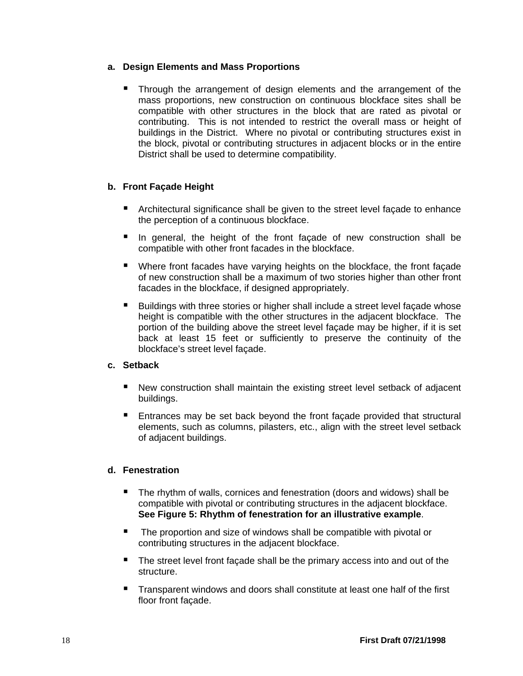# <span id="page-23-0"></span>**a. Design Elements and Mass Proportions**

 Through the arrangement of design elements and the arrangement of the mass proportions, new construction on continuous blockface sites shall be compatible with other structures in the block that are rated as pivotal or contributing. This is not intended to restrict the overall mass or height of buildings in the District. Where no pivotal or contributing structures exist in the block, pivotal or contributing structures in adjacent blocks or in the entire District shall be used to determine compatibility.

# <span id="page-23-1"></span>**b. Front Façade Height**

- **E** Architectural significance shall be given to the street level façade to enhance the perception of a continuous blockface.
- In general, the height of the front façade of new construction shall be compatible with other front facades in the blockface.
- Where front facades have varying heights on the blockface, the front façade of new construction shall be a maximum of two stories higher than other front facades in the blockface, if designed appropriately.
- Buildings with three stories or higher shall include a street level façade whose height is compatible with the other structures in the adjacent blockface. The portion of the building above the street level façade may be higher, if it is set back at least 15 feet or sufficiently to preserve the continuity of the blockface's street level façade.

# <span id="page-23-2"></span>**c. Setback**

- New construction shall maintain the existing street level setback of adjacent buildings.
- Entrances may be set back beyond the front façade provided that structural elements, such as columns, pilasters, etc., align with the street level setback of adjacent buildings.

# <span id="page-23-3"></span>**d. Fenestration**

- The rhythm of walls, cornices and fenestration (doors and widows) shall be compatible with pivotal or contributing structures in the adjacent blockface. **See Figure 5: Rhythm of fenestration for an illustrative example**.
- The proportion and size of windows shall be compatible with pivotal or contributing structures in the adjacent blockface.
- The street level front facade shall be the primary access into and out of the structure.
- Transparent windows and doors shall constitute at least one half of the first floor front façade.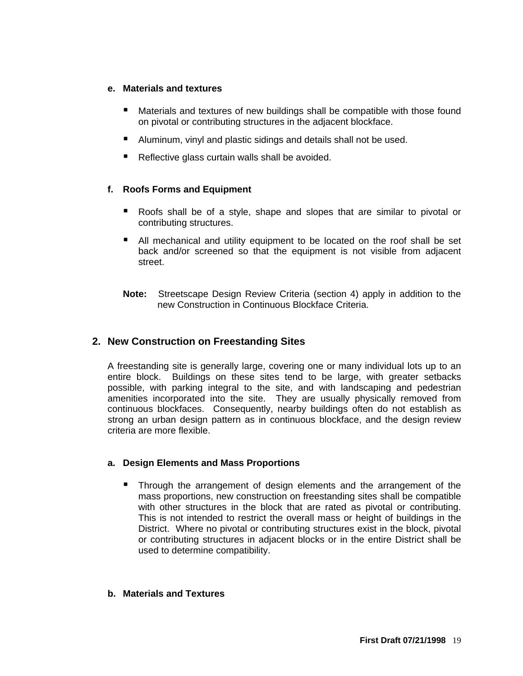#### <span id="page-24-0"></span>**e. Materials and textures**

- Materials and textures of new buildings shall be compatible with those found on pivotal or contributing structures in the adjacent blockface.
- Aluminum, vinyl and plastic sidings and details shall not be used.
- Reflective glass curtain walls shall be avoided.

# <span id="page-24-1"></span>**f. Roofs Forms and Equipment**

- Roofs shall be of a style, shape and slopes that are similar to pivotal or contributing structures.
- All mechanical and utility equipment to be located on the roof shall be set back and/or screened so that the equipment is not visible from adjacent street.
- **Note:** Streetscape Design Review Criteria (section 4) apply in addition to the new Construction in Continuous Blockface Criteria.

# <span id="page-24-2"></span>**2. New Construction on Freestanding Sites**

A freestanding site is generally large, covering one or many individual lots up to an entire block. Buildings on these sites tend to be large, with greater setbacks possible, with parking integral to the site, and with landscaping and pedestrian amenities incorporated into the site. They are usually physically removed from continuous blockfaces. Consequently, nearby buildings often do not establish as strong an urban design pattern as in continuous blockface, and the design review criteria are more flexible.

# <span id="page-24-3"></span>**a. Design Elements and Mass Proportions**

 Through the arrangement of design elements and the arrangement of the mass proportions, new construction on freestanding sites shall be compatible with other structures in the block that are rated as pivotal or contributing. This is not intended to restrict the overall mass or height of buildings in the District. Where no pivotal or contributing structures exist in the block, pivotal or contributing structures in adjacent blocks or in the entire District shall be used to determine compatibility.

#### <span id="page-24-4"></span>**b. Materials and Textures**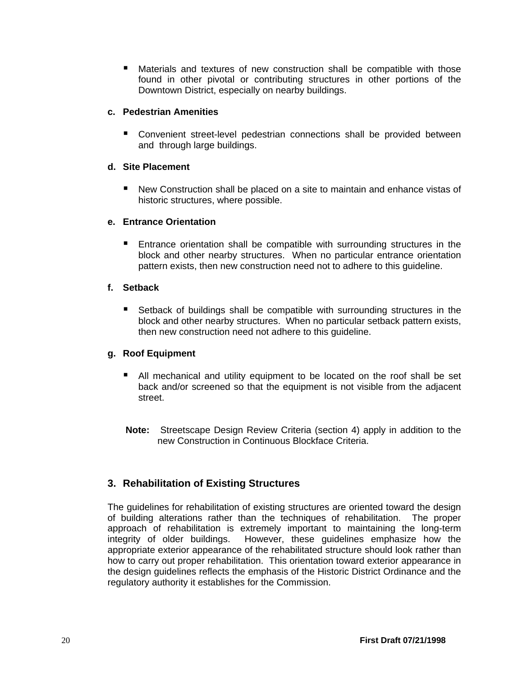Materials and textures of new construction shall be compatible with those found in other pivotal or contributing structures in other portions of the Downtown District, especially on nearby buildings.

#### <span id="page-25-0"></span>**c. Pedestrian Amenities**

 Convenient street-level pedestrian connections shall be provided between and through large buildings.

#### <span id="page-25-1"></span>**d. Site Placement**

■ New Construction shall be placed on a site to maintain and enhance vistas of historic structures, where possible.

#### <span id="page-25-2"></span>**e. Entrance Orientation**

**Entrance orientation shall be compatible with surrounding structures in the** block and other nearby structures. When no particular entrance orientation pattern exists, then new construction need not to adhere to this guideline.

#### <span id="page-25-3"></span>**f. Setback**

■ Setback of buildings shall be compatible with surrounding structures in the block and other nearby structures. When no particular setback pattern exists, then new construction need not adhere to this guideline.

#### <span id="page-25-4"></span>**g. Roof Equipment**

- All mechanical and utility equipment to be located on the roof shall be set back and/or screened so that the equipment is not visible from the adjacent street.
- **Note:** Streetscape Design Review Criteria (section 4) apply in addition to the new Construction in Continuous Blockface Criteria.

# <span id="page-25-5"></span>**3. Rehabilitation of Existing Structures**

The guidelines for rehabilitation of existing structures are oriented toward the design of building alterations rather than the techniques of rehabilitation. The proper approach of rehabilitation is extremely important to maintaining the long-term integrity of older buildings. However, these guidelines emphasize how the appropriate exterior appearance of the rehabilitated structure should look rather than how to carry out proper rehabilitation. This orientation toward exterior appearance in the design guidelines reflects the emphasis of the Historic District Ordinance and the regulatory authority it establishes for the Commission.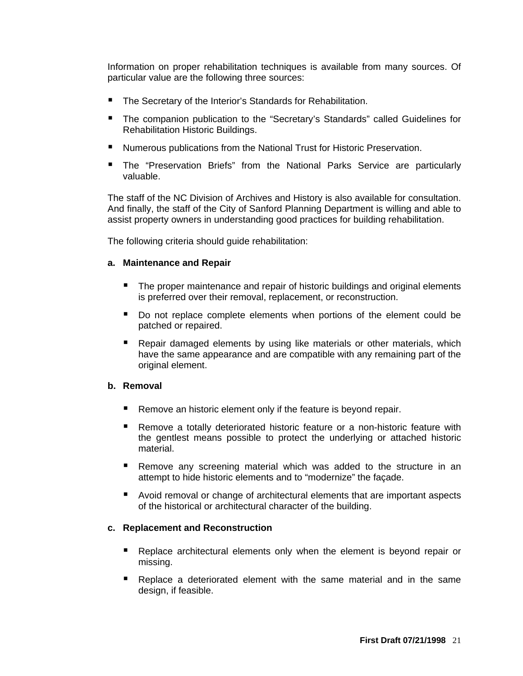Information on proper rehabilitation techniques is available from many sources. Of particular value are the following three sources:

- The Secretary of the Interior's Standards for Rehabilitation.
- The companion publication to the "Secretary's Standards" called Guidelines for Rehabilitation Historic Buildings.
- Numerous publications from the National Trust for Historic Preservation.
- **The "Preservation Briefs" from the National Parks Service are particularly** valuable.

The staff of the NC Division of Archives and History is also available for consultation. And finally, the staff of the City of Sanford Planning Department is willing and able to assist property owners in understanding good practices for building rehabilitation.

The following criteria should guide rehabilitation:

#### <span id="page-26-0"></span>**a. Maintenance and Repair**

- The proper maintenance and repair of historic buildings and original elements is preferred over their removal, replacement, or reconstruction.
- Do not replace complete elements when portions of the element could be patched or repaired.
- Repair damaged elements by using like materials or other materials, which have the same appearance and are compatible with any remaining part of the original element.

#### <span id="page-26-1"></span>**b. Removal**

- Remove an historic element only if the feature is beyond repair.
- Remove a totally deteriorated historic feature or a non-historic feature with the gentlest means possible to protect the underlying or attached historic material.
- Remove any screening material which was added to the structure in an attempt to hide historic elements and to "modernize" the façade.
- Avoid removal or change of architectural elements that are important aspects of the historical or architectural character of the building.

#### <span id="page-26-2"></span>**c. Replacement and Reconstruction**

- Replace architectural elements only when the element is beyond repair or missing.
- Replace a deteriorated element with the same material and in the same design, if feasible.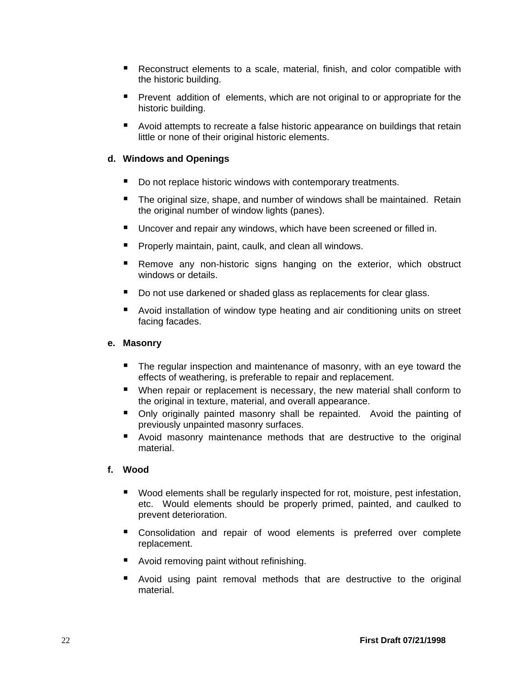- Reconstruct elements to a scale, material, finish, and color compatible with the historic building.
- **Prevent addition of elements, which are not original to or appropriate for the** historic building.
- Avoid attempts to recreate a false historic appearance on buildings that retain little or none of their original historic elements.

# <span id="page-27-0"></span>**d. Windows and Openings**

- Do not replace historic windows with contemporary treatments.
- The original size, shape, and number of windows shall be maintained. Retain the original number of window lights (panes).
- **Uncover and repair any windows, which have been screened or filled in.**
- **Properly maintain, paint, caulk, and clean all windows.**
- **Remove any non-historic signs hanging on the exterior, which obstruct** windows or details.
- Do not use darkened or shaded glass as replacements for clear glass.
- Avoid installation of window type heating and air conditioning units on street facing facades.

# <span id="page-27-1"></span>**e. Masonry**

- The regular inspection and maintenance of masonry, with an eye toward the effects of weathering, is preferable to repair and replacement.
- When repair or replacement is necessary, the new material shall conform to the original in texture, material, and overall appearance.
- **•** Only originally painted masonry shall be repainted. Avoid the painting of previously unpainted masonry surfaces.
- **E** Avoid masonry maintenance methods that are destructive to the original material.

# <span id="page-27-2"></span>**f. Wood**

- **Wood elements shall be regularly inspected for rot, moisture, pest infestation,** etc. Would elements should be properly primed, painted, and caulked to prevent deterioration.
- Consolidation and repair of wood elements is preferred over complete replacement.
- Avoid removing paint without refinishing.
- **E** Avoid using paint removal methods that are destructive to the original material.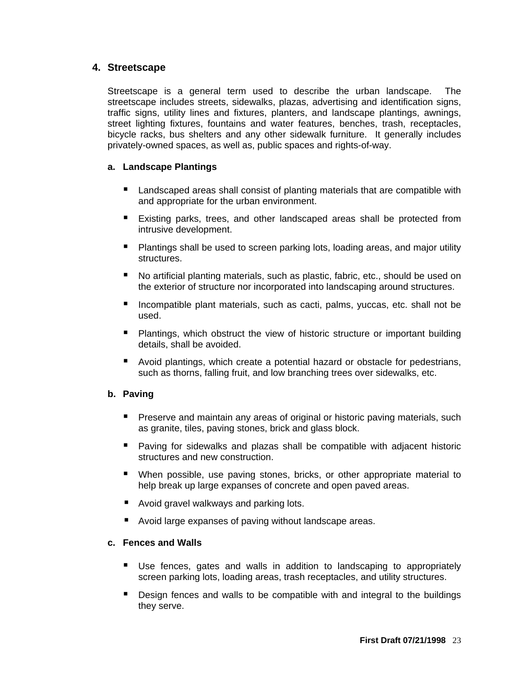# <span id="page-28-0"></span>**4. Streetscape**

Streetscape is a general term used to describe the urban landscape. The streetscape includes streets, sidewalks, plazas, advertising and identification signs, traffic signs, utility lines and fixtures, planters, and landscape plantings, awnings, street lighting fixtures, fountains and water features, benches, trash, receptacles, bicycle racks, bus shelters and any other sidewalk furniture. It generally includes privately-owned spaces, as well as, public spaces and rights-of-way.

#### <span id="page-28-1"></span>**a. Landscape Plantings**

- Landscaped areas shall consist of planting materials that are compatible with and appropriate for the urban environment.
- Existing parks, trees, and other landscaped areas shall be protected from intrusive development.
- **Plantings shall be used to screen parking lots, loading areas, and major utility** structures.
- No artificial planting materials, such as plastic, fabric, etc., should be used on the exterior of structure nor incorporated into landscaping around structures.
- **Incompatible plant materials, such as cacti, palms, yuccas, etc. shall not be** used.
- **Plantings, which obstruct the view of historic structure or important building** details, shall be avoided.
- Avoid plantings, which create a potential hazard or obstacle for pedestrians, such as thorns, falling fruit, and low branching trees over sidewalks, etc.

# <span id="page-28-2"></span>**b. Paving**

- **Preserve and maintain any areas of original or historic paving materials, such** as granite, tiles, paving stones, brick and glass block.
- **Paving for sidewalks and plazas shall be compatible with adjacent historic** structures and new construction.
- When possible, use paving stones, bricks, or other appropriate material to help break up large expanses of concrete and open paved areas.
- Avoid gravel walkways and parking lots.
- Avoid large expanses of paving without landscape areas.

#### <span id="page-28-3"></span>**c. Fences and Walls**

- Use fences, gates and walls in addition to landscaping to appropriately screen parking lots, loading areas, trash receptacles, and utility structures.
- **Design fences and walls to be compatible with and integral to the buildings** they serve.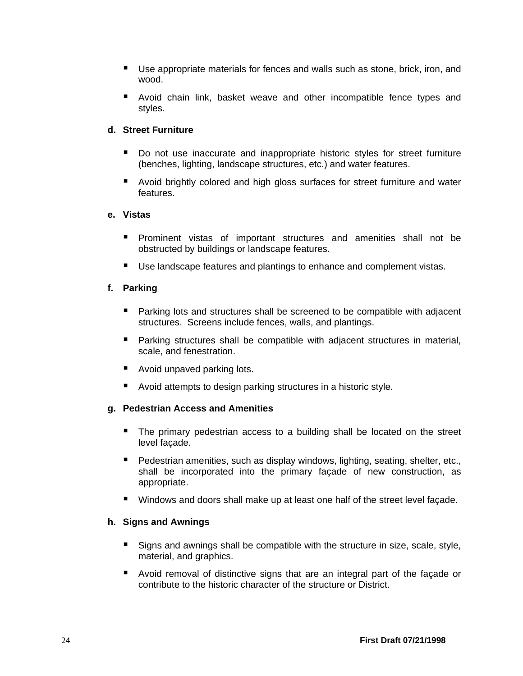- Use appropriate materials for fences and walls such as stone, brick, iron, and wood.
- **E** Avoid chain link, basket weave and other incompatible fence types and styles.

# <span id="page-29-0"></span>**d. Street Furniture**

- Do not use inaccurate and inappropriate historic styles for street furniture (benches, lighting, landscape structures, etc.) and water features.
- Avoid brightly colored and high gloss surfaces for street furniture and water features.

#### <span id="page-29-1"></span>**e. Vistas**

- Prominent vistas of important structures and amenities shall not be obstructed by buildings or landscape features.
- Use landscape features and plantings to enhance and complement vistas.

#### <span id="page-29-2"></span>**f. Parking**

- Parking lots and structures shall be screened to be compatible with adjacent structures. Screens include fences, walls, and plantings.
- Parking structures shall be compatible with adjacent structures in material, scale, and fenestration.
- Avoid unpaved parking lots.
- Avoid attempts to design parking structures in a historic style.

#### <span id="page-29-3"></span>**g. Pedestrian Access and Amenities**

- The primary pedestrian access to a building shall be located on the street level façade.
- **Pedestrian amenities, such as display windows, lighting, seating, shelter, etc.,** shall be incorporated into the primary façade of new construction, as appropriate.
- Windows and doors shall make up at least one half of the street level facade.

#### <span id="page-29-4"></span>**h. Signs and Awnings**

- Signs and awnings shall be compatible with the structure in size, scale, style, material, and graphics.
- Avoid removal of distinctive signs that are an integral part of the façade or contribute to the historic character of the structure or District.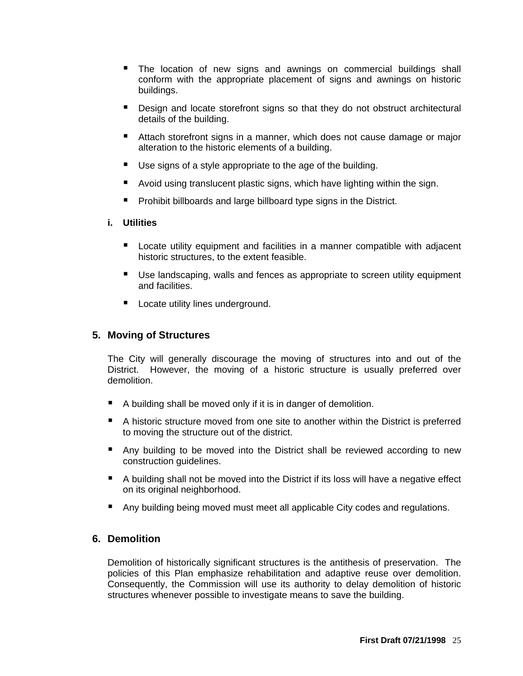- **The location of new signs and awnings on commercial buildings shall** conform with the appropriate placement of signs and awnings on historic buildings.
- **Design and locate storefront signs so that they do not obstruct architectural** details of the building.
- Attach storefront signs in a manner, which does not cause damage or major alteration to the historic elements of a building.
- Use signs of a style appropriate to the age of the building.
- Avoid using translucent plastic signs, which have lighting within the sign.
- **Prohibit billboards and large billboard type signs in the District.**

# <span id="page-30-0"></span>**i. Utilities**

- **Locate utility equipment and facilities in a manner compatible with adjacent** historic structures, to the extent feasible.
- Use landscaping, walls and fences as appropriate to screen utility equipment and facilities.
- **Locate utility lines underground.**

# <span id="page-30-1"></span>**5. Moving of Structures**

The City will generally discourage the moving of structures into and out of the District. However, the moving of a historic structure is usually preferred over demolition.

- A building shall be moved only if it is in danger of demolition.
- A historic structure moved from one site to another within the District is preferred to moving the structure out of the district.
- Any building to be moved into the District shall be reviewed according to new construction guidelines.
- A building shall not be moved into the District if its loss will have a negative effect on its original neighborhood.
- Any building being moved must meet all applicable City codes and regulations.

# <span id="page-30-2"></span>**6. Demolition**

Demolition of historically significant structures is the antithesis of preservation. The policies of this Plan emphasize rehabilitation and adaptive reuse over demolition. Consequently, the Commission will use its authority to delay demolition of historic structures whenever possible to investigate means to save the building.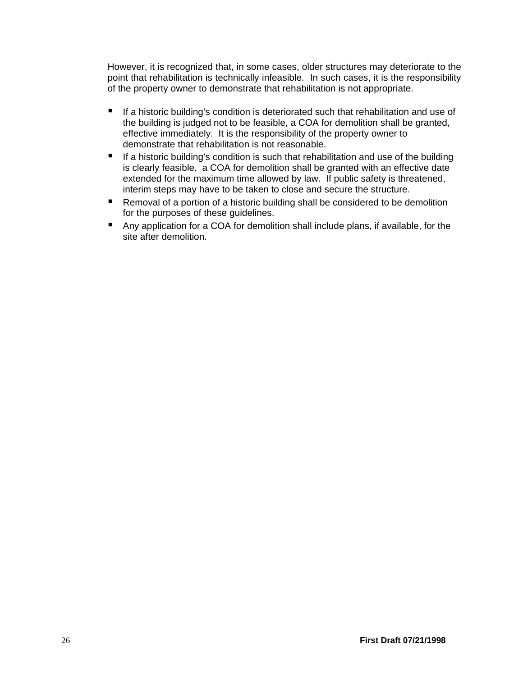However, it is recognized that, in some cases, older structures may deteriorate to the point that rehabilitation is technically infeasible. In such cases, it is the responsibility of the property owner to demonstrate that rehabilitation is not appropriate.

- $\blacksquare$  If a historic building's condition is deteriorated such that rehabilitation and use of the building is judged not to be feasible, a COA for demolition shall be granted, effective immediately. It is the responsibility of the property owner to demonstrate that rehabilitation is not reasonable.
- $\blacksquare$  If a historic building's condition is such that rehabilitation and use of the building is clearly feasible, a COA for demolition shall be granted with an effective date extended for the maximum time allowed by law. If public safety is threatened, interim steps may have to be taken to close and secure the structure.
- Removal of a portion of a historic building shall be considered to be demolition for the purposes of these guidelines.
- Any application for a COA for demolition shall include plans, if available, for the site after demolition.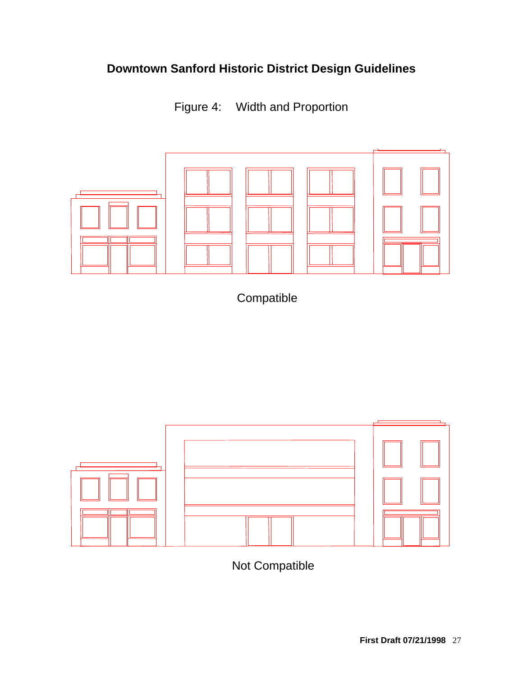# **Downtown Sanford Historic District Design Guidelines**

Figure 4: Width and Proportion

<span id="page-32-0"></span>

**Compatible** 



Not Compatible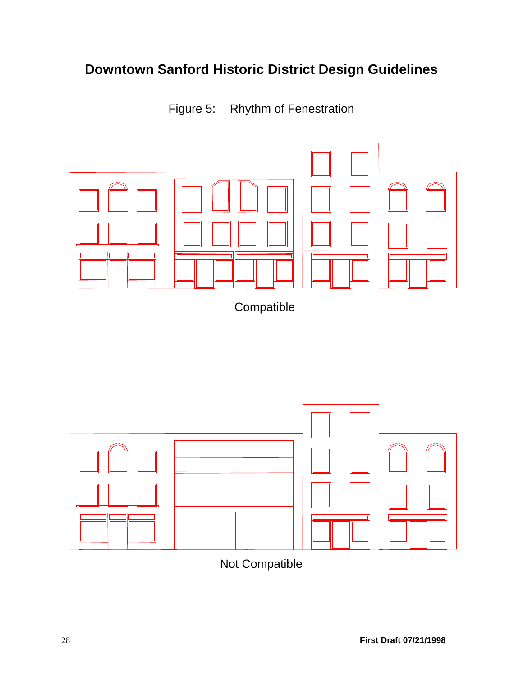# **Downtown Sanford Historic District Design Guidelines**

Figure 5: Rhythm of Fenestration

<span id="page-33-0"></span>

Compatible



Not Compatible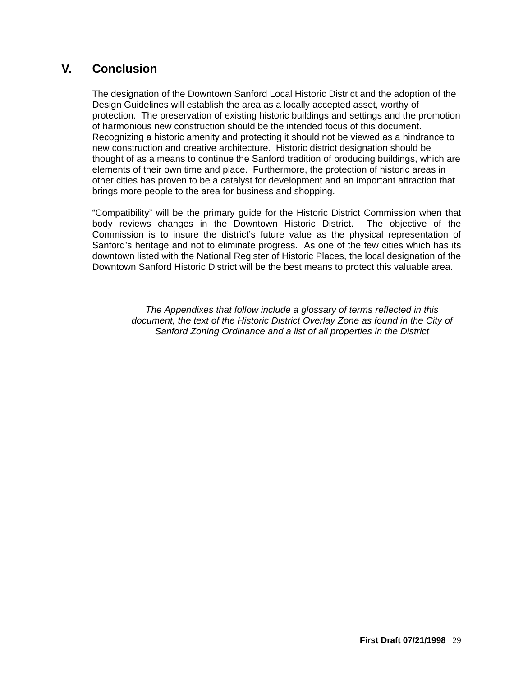# <span id="page-34-0"></span>**V. Conclusion**

The designation of the Downtown Sanford Local Historic District and the adoption of the Design Guidelines will establish the area as a locally accepted asset, worthy of protection. The preservation of existing historic buildings and settings and the promotion of harmonious new construction should be the intended focus of this document. Recognizing a historic amenity and protecting it should not be viewed as a hindrance to new construction and creative architecture. Historic district designation should be thought of as a means to continue the Sanford tradition of producing buildings, which are elements of their own time and place. Furthermore, the protection of historic areas in other cities has proven to be a catalyst for development and an important attraction that brings more people to the area for business and shopping.

"Compatibility" will be the primary guide for the Historic District Commission when that body reviews changes in the Downtown Historic District. The objective of the Commission is to insure the district's future value as the physical representation of Sanford's heritage and not to eliminate progress. As one of the few cities which has its downtown listed with the National Register of Historic Places, the local designation of the Downtown Sanford Historic District will be the best means to protect this valuable area.

> *The Appendixes that follow include a glossary of terms reflected in this document, the text of the Historic District Overlay Zone as found in the City of Sanford Zoning Ordinance and a list of all properties in the District*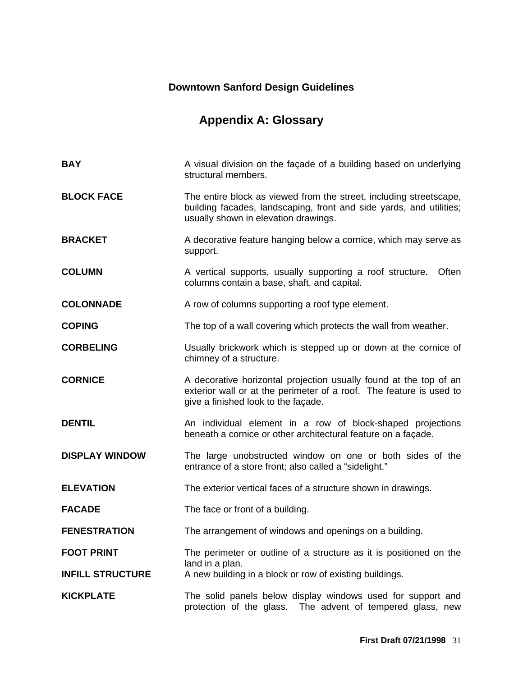# **Downtown Sanford Design Guidelines**

# **Appendix A: Glossary**

<span id="page-36-0"></span>

| <b>BAY</b>              | A visual division on the façade of a building based on underlying<br>structural members.                                                                                          |
|-------------------------|-----------------------------------------------------------------------------------------------------------------------------------------------------------------------------------|
| <b>BLOCK FACE</b>       | The entire block as viewed from the street, including streetscape,<br>building facades, landscaping, front and side yards, and utilities;<br>usually shown in elevation drawings. |
| <b>BRACKET</b>          | A decorative feature hanging below a cornice, which may serve as<br>support.                                                                                                      |
| <b>COLUMN</b>           | A vertical supports, usually supporting a roof structure.<br>Often<br>columns contain a base, shaft, and capital.                                                                 |
| <b>COLONNADE</b>        | A row of columns supporting a roof type element.                                                                                                                                  |
| <b>COPING</b>           | The top of a wall covering which protects the wall from weather.                                                                                                                  |
| <b>CORBELING</b>        | Usually brickwork which is stepped up or down at the cornice of<br>chimney of a structure.                                                                                        |
| <b>CORNICE</b>          | A decorative horizontal projection usually found at the top of an<br>exterior wall or at the perimeter of a roof. The feature is used to<br>give a finished look to the façade.   |
| <b>DENTIL</b>           | An individual element in a row of block-shaped projections<br>beneath a cornice or other architectural feature on a façade.                                                       |
| <b>DISPLAY WINDOW</b>   | The large unobstructed window on one or both sides of the<br>entrance of a store front; also called a "sidelight."                                                                |
| <b>ELEVATION</b>        | The exterior vertical faces of a structure shown in drawings.                                                                                                                     |
| <b>FACADE</b>           | The face or front of a building.                                                                                                                                                  |
| <b>FENESTRATION</b>     | The arrangement of windows and openings on a building.                                                                                                                            |
| <b>FOOT PRINT</b>       | The perimeter or outline of a structure as it is positioned on the                                                                                                                |
| <b>INFILL STRUCTURE</b> | land in a plan.<br>A new building in a block or row of existing buildings.                                                                                                        |
| <b>KICKPLATE</b>        | The solid panels below display windows used for support and<br>protection of the glass.<br>The advent of tempered glass, new                                                      |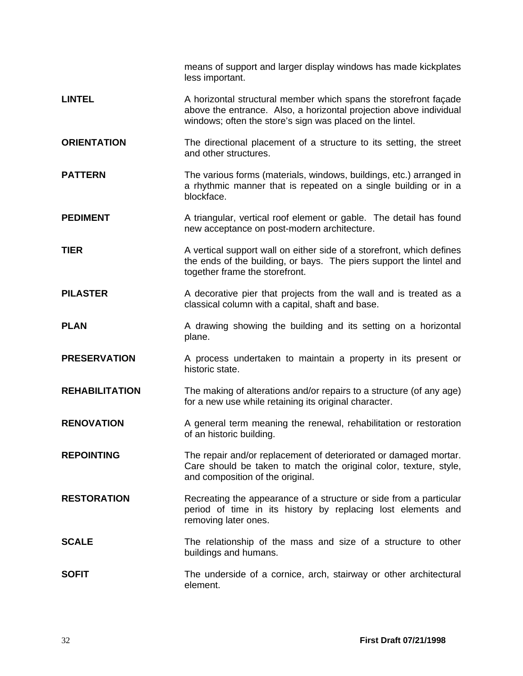|                       | means of support and larger display windows has made kickplates<br>less important.                                                                                                                  |
|-----------------------|-----------------------------------------------------------------------------------------------------------------------------------------------------------------------------------------------------|
| <b>LINTEL</b>         | A horizontal structural member which spans the storefront façade<br>above the entrance. Also, a horizontal projection above individual<br>windows; often the store's sign was placed on the lintel. |
| <b>ORIENTATION</b>    | The directional placement of a structure to its setting, the street<br>and other structures.                                                                                                        |
| <b>PATTERN</b>        | The various forms (materials, windows, buildings, etc.) arranged in<br>a rhythmic manner that is repeated on a single building or in a<br>blockface.                                                |
| <b>PEDIMENT</b>       | A triangular, vertical roof element or gable. The detail has found<br>new acceptance on post-modern architecture.                                                                                   |
| <b>TIER</b>           | A vertical support wall on either side of a storefront, which defines<br>the ends of the building, or bays. The piers support the lintel and<br>together frame the storefront.                      |
| <b>PILASTER</b>       | A decorative pier that projects from the wall and is treated as a<br>classical column with a capital, shaft and base.                                                                               |
| <b>PLAN</b>           | A drawing showing the building and its setting on a horizontal<br>plane.                                                                                                                            |
| <b>PRESERVATION</b>   | A process undertaken to maintain a property in its present or<br>historic state.                                                                                                                    |
| <b>REHABILITATION</b> | The making of alterations and/or repairs to a structure (of any age)<br>for a new use while retaining its original character.                                                                       |
| <b>RENOVATION</b>     | A general term meaning the renewal, rehabilitation or restoration<br>of an historic building.                                                                                                       |
| <b>REPOINTING</b>     | The repair and/or replacement of deteriorated or damaged mortar.<br>Care should be taken to match the original color, texture, style,<br>and composition of the original.                           |
| <b>RESTORATION</b>    | Recreating the appearance of a structure or side from a particular<br>period of time in its history by replacing lost elements and<br>removing later ones.                                          |
| <b>SCALE</b>          | The relationship of the mass and size of a structure to other<br>buildings and humans.                                                                                                              |
| <b>SOFIT</b>          | The underside of a cornice, arch, stairway or other architectural<br>element.                                                                                                                       |